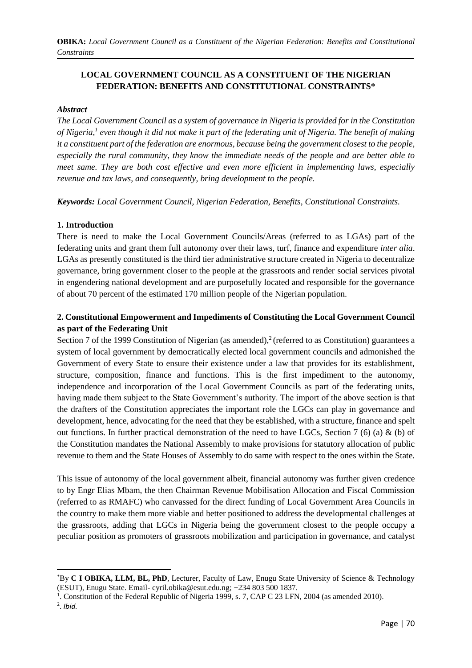# **LOCAL GOVERNMENT COUNCIL AS A CONSTITUENT OF THE NIGERIAN FEDERATION: BENEFITS AND CONSTITUTIONAL CONSTRAINTS\***

#### *Abstract*

*The Local Government Council as a system of governance in Nigeria is provided for in the Constitution of Nigeria,<sup>1</sup> even though it did not make it part of the federating unit of Nigeria. The benefit of making it a constituent part of the federation are enormous, because being the government closest to the people, especially the rural community, they know the immediate needs of the people and are better able to meet same. They are both cost effective and even more efficient in implementing laws, especially revenue and tax laws, and consequently, bring development to the people.*

*Keywords: Local Government Council, Nigerian Federation, Benefits, Constitutional Constraints.*

#### **1. Introduction**

There is need to make the Local Government Councils/Areas (referred to as LGAs) part of the federating units and grant them full autonomy over their laws, turf, finance and expenditure *inter alia*. LGAs as presently constituted is the third tier administrative structure created in Nigeria to decentralize governance, bring government closer to the people at the grassroots and render social services pivotal in engendering national development and are purposefully located and responsible for the governance of about 70 percent of the estimated 170 million people of the Nigerian population.

## **2. Constitutional Empowerment and Impediments of Constituting the Local Government Council as part of the Federating Unit**

Section 7 of the 1999 Constitution of Nigerian (as amended),<sup>2</sup> (referred to as Constitution) guarantees a system of local government by democratically elected local government councils and admonished the Government of every State to ensure their existence under a law that provides for its establishment, structure, composition, finance and functions. This is the first impediment to the autonomy, independence and incorporation of the Local Government Councils as part of the federating units, having made them subject to the State Government's authority. The import of the above section is that the drafters of the Constitution appreciates the important role the LGCs can play in governance and development, hence, advocating for the need that they be established, with a structure, finance and spelt out functions. In further practical demonstration of the need to have LGCs, Section 7 (6) (a) & (b) of the Constitution mandates the National Assembly to make provisions for statutory allocation of public revenue to them and the State Houses of Assembly to do same with respect to the ones within the State.

This issue of autonomy of the local government albeit, financial autonomy was further given credence to by Engr Elias Mbam, the then Chairman Revenue Mobilisation Allocation and Fiscal Commission (referred to as RMAFC) who canvassed for the direct funding of Local Government Area Councils in the country to make them more viable and better positioned to address the developmental challenges at the grassroots, adding that LGCs in Nigeria being the government closest to the people occupy a peculiar position as promoters of grassroots mobilization and participation in governance, and catalyst

<sup>\*</sup>By **C I OBIKA, LLM, BL, PhD**, Lecturer, Faculty of Law, Enugu State University of Science & Technology (ESUT), Enugu State. Email- [cyril.obika@esut.edu.ng;](mailto:cyril.obika@esut.edu.ng) +234 803 500 1837.

<sup>&</sup>lt;sup>1</sup>. Constitution of the Federal Republic of Nigeria 1999, s. 7, CAP C 23 LFN, 2004 (as amended 2010).

<sup>2</sup> . *Ibid.*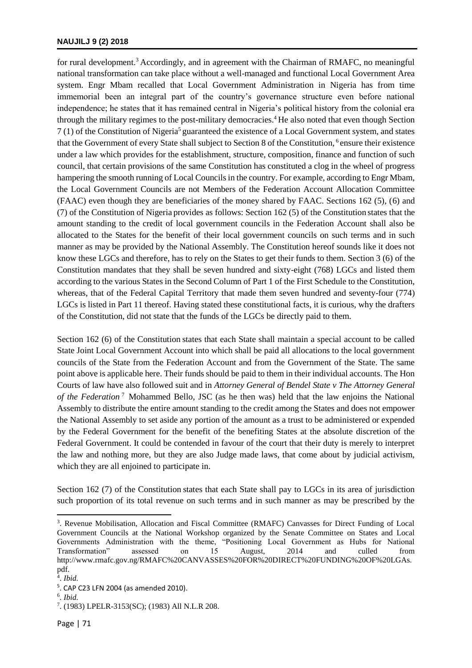#### **NAUJILJ 9 (2) 2018**

for rural development.<sup>3</sup> Accordingly, and in agreement with the Chairman of RMAFC, no meaningful national transformation can take place without a well-managed and functional Local Government Area system. Engr Mbam recalled that Local Government Administration in Nigeria has from time immemorial been an integral part of the country's governance structure even before national independence; he states that it has remained central in Nigeria's political history from the colonial era through the military regimes to the post-military democracies.<sup>4</sup> He also noted that even though Section  $7(1)$  of the Constitution of Nigeria<sup>5</sup> guaranteed the existence of a Local Government system, and states that the Government of every State shall subject to Section 8 of the Constitution, <sup>6</sup> ensure their existence under a law which provides for the establishment, structure, composition, finance and function of such council, that certain provisions of the same Constitution has constituted a clog in the wheel of progress hampering the smooth running of Local Councils in the country. For example, according to Engr Mbam, the Local Government Councils are not Members of the Federation Account Allocation Committee (FAAC) even though they are beneficiaries of the money shared by FAAC. Sections 162 (5), (6) and (7) of the Constitution of Nigeria provides as follows: Section 162 (5) of the Constitution states that the amount standing to the credit of local government councils in the Federation Account shall also be allocated to the States for the benefit of their local government councils on such terms and in such manner as may be provided by the National Assembly. The Constitution hereof sounds like it does not know these LGCs and therefore, has to rely on the States to get their funds to them. Section 3 (6) of the Constitution mandates that they shall be seven hundred and sixty-eight (768) LGCs and listed them according to the various States in the Second Column of Part 1 of the First Schedule to the Constitution, whereas, that of the Federal Capital Territory that made them seven hundred and seventy-four (774) LGCs is listed in Part 11 thereof. Having stated these constitutional facts, it is curious, why the drafters of the Constitution, did not state that the funds of the LGCs be directly paid to them.

Section 162 (6) of the Constitution states that each State shall maintain a special account to be called State Joint Local Government Account into which shall be paid all allocations to the local government councils of the State from the Federation Account and from the Government of the State. The same point above is applicable here. Their funds should be paid to them in their individual accounts. The Hon Courts of law have also followed suit and in *Attorney General of Bendel State v The Attorney General of the Federation*<sup>7</sup> Mohammed Bello, JSC (as he then was) held that the law enjoins the National Assembly to distribute the entire amount standing to the credit among the States and does not empower the National Assembly to set aside any portion of the amount as a trust to be administered or expended by the Federal Government for the benefit of the benefiting States at the absolute discretion of the Federal Government. It could be contended in favour of the court that their duty is merely to interpret the law and nothing more, but they are also Judge made laws, that come about by judicial activism, which they are all enjoined to participate in.

Section 162 (7) of the Constitution states that each State shall pay to LGCs in its area of jurisdiction such proportion of its total revenue on such terms and in such manner as may be prescribed by the

<sup>3</sup> . Revenue Mobilisation, Allocation and Fiscal Committee (RMAFC) Canvasses for Direct Funding of Local Government Councils at the National Workshop organized by the Senate Committee on States and Local Governments Administration with the theme, "Positioning Local Government as Hubs for National Transformation" assessed on 15 August, 2014 and culled from http://www.rmafc.gov.ng/RMAFC%20CANVASSES%20FOR%20[DIRECT%20FUNDING%20OF%20LGAs.](http://www.rmafc.gov.ng/RMAFC%20CANVASSES%20FOR%20DIRECT%20FUNDING%20OF%20LGAs.pdf)  [pdf.](http://www.rmafc.gov.ng/RMAFC%20CANVASSES%20FOR%20DIRECT%20FUNDING%20OF%20LGAs.pdf) 

<sup>4</sup> . *Ibid.*

<sup>5</sup> . CAP C23 LFN 2004 (as amended 2010).

<sup>6</sup> . *Ibid.*

<sup>7</sup> . (1983) LPELR-3153(SC); (1983) All N.L.R 208.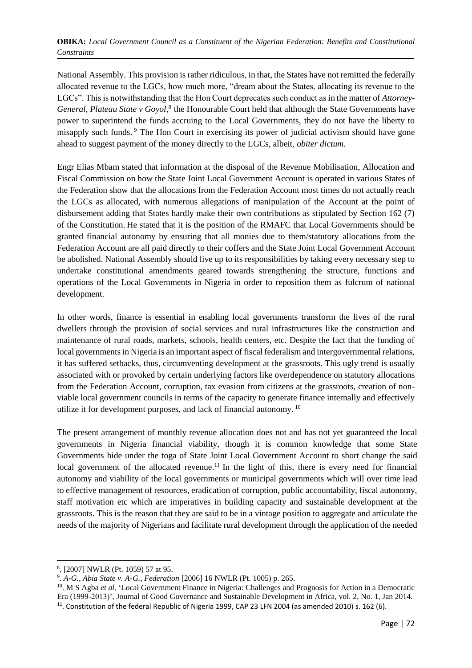National Assembly. This provision is rather ridiculous, in that, the States have not remitted the federally allocated revenue to the LGCs, how much more, "dream about the States, allocating its revenue to the LGCs". This is notwithstanding that the Hon Court deprecates such conduct as in the matter of *Attorney-*General, Plateau State v Goyol,<sup>8</sup> the Honourable Court held that although the State Governments have power to superintend the funds accruing to the Local Governments, they do not have the liberty to misapply such funds. <sup>9</sup> The Hon Court in exercising its power of judicial activism should have gone ahead to suggest payment of the money directly to the LGCs, albeit, *obiter dictum*.

Engr Elias Mbam stated that information at the disposal of the Revenue Mobilisation, Allocation and Fiscal Commission on how the State Joint Local Government Account is operated in various States of the Federation show that the allocations from the Federation Account most times do not actually reach the LGCs as allocated, with numerous allegations of manipulation of the Account at the point of disbursement adding that States hardly make their own contributions as stipulated by Section 162 (7) of the Constitution. He stated that it is the position of the RMAFC that Local Governments should be granted financial autonomy by ensuring that all monies due to them/statutory allocations from the Federation Account are all paid directly to their coffers and the State Joint Local Government Account be abolished. National Assembly should live up to its responsibilities by taking every necessary step to undertake constitutional amendments geared towards strengthening the structure, functions and operations of the Local Governments in Nigeria in order to reposition them as fulcrum of national development.

In other words, finance is essential in enabling local governments transform the lives of the rural dwellers through the provision of social services and rural infrastructures like the construction and maintenance of rural roads, markets, schools, health centers, etc. Despite the fact that the funding of local governments in Nigeria is an important aspect of fiscal federalism and intergovernmental relations, it has suffered setbacks, thus, circumventing development at the grassroots. This ugly trend is usually associated with or provoked by certain underlying factors like overdependence on statutory allocations from the Federation Account, corruption, tax evasion from citizens at the grassroots, creation of nonviable local government councils in terms of the capacity to generate finance internally and effectively utilize it for development purposes, and lack of financial autonomy. <sup>10</sup>

The present arrangement of monthly revenue allocation does not and has not yet guaranteed the local governments in Nigeria financial viability, though it is common knowledge that some State Governments hide under the toga of State Joint Local Government Account to short change the said local government of the allocated revenue.<sup>11</sup> In the light of this, there is every need for financial autonomy and viability of the local governments or municipal governments which will over time lead to effective management of resources, eradication of corruption, public accountability, fiscal autonomy, staff motivation etc which are imperatives in building capacity and sustainable development at the grassroots. This is the reason that they are said to be in a vintage position to aggregate and articulate the needs of the majority of Nigerians and facilitate rural development through the application of the needed

1

<sup>8</sup> . [2007] NWLR (Pt. 1059) 57 at 95.

<sup>9</sup> . *A-G., Abia State v. A-G., Federation* [2006] 16 NWLR (Pt. 1005) p. 265.

<sup>&</sup>lt;sup>10</sup>. M S Agba *et al*, 'Local Government Finance in Nigeria: Challenges and Prognosis for Action in a Democratic Era (1999-2013)', Journal of Good Governance and Sustainable Development in Africa, vol. 2, No. 1, Jan 2014. <sup>11</sup>. Constitution of the federal Republic of Nigeria 1999, CAP 23 LFN 2004 (as amended 2010) s. 162 (6).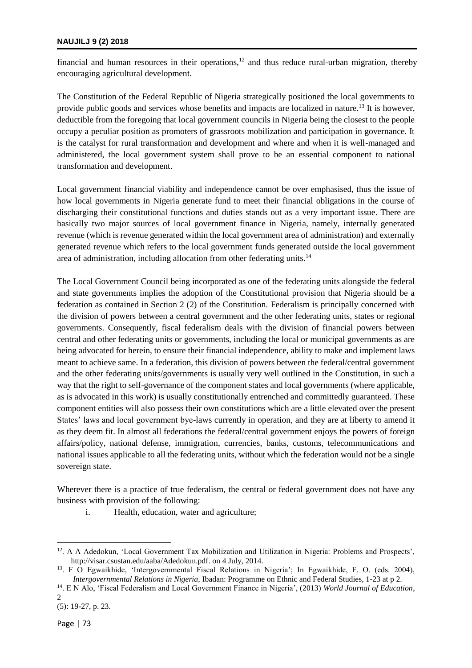#### **NAUJILJ 9 (2) 2018**

financial and human resources in their operations, $12$  and thus reduce rural-urban migration, thereby encouraging agricultural development.

The Constitution of the Federal Republic of Nigeria strategically positioned the local governments to provide public goods and services whose benefits and impacts are localized in nature.<sup>13</sup> It is however, deductible from the foregoing that local government councils in Nigeria being the closest to the people occupy a peculiar position as promoters of grassroots mobilization and participation in governance. It is the catalyst for rural transformation and development and where and when it is well-managed and administered, the local government system shall prove to be an essential component to national transformation and development.

Local government financial viability and independence cannot be over emphasised, thus the issue of how local governments in Nigeria generate fund to meet their financial obligations in the course of discharging their constitutional functions and duties stands out as a very important issue. There are basically two major sources of local government finance in Nigeria, namely, internally generated revenue (which is revenue generated within the local government area of administration) and externally generated revenue which refers to the local government funds generated outside the local government area of administration, including allocation from other federating units.<sup>14</sup>

The Local Government Council being incorporated as one of the federating units alongside the federal and state governments implies the adoption of the Constitutional provision that Nigeria should be a federation as contained in Section 2 (2) of the Constitution. Federalism is principally concerned with the division of powers between a central government and the other federating units, states or regional governments. Consequently, fiscal federalism deals with the division of financial powers between central and other federating units or governments, including the local or municipal governments as are being advocated for herein, to ensure their financial independence, ability to make and implement laws meant to achieve same. In a federation, this division of powers between the federal/central government and the other federating units/governments is usually very well outlined in the Constitution, in such a way that the right to self-governance of the component states and local governments (where applicable, as is advocated in this work) is usually constitutionally entrenched and committedly guaranteed. These component entities will also possess their own constitutions which are a little elevated over the present States' laws and local government bye-laws currently in operation, and they are at liberty to amend it as they deem fit. In almost all federations the federal/central government enjoys the powers of foreign affairs/policy, national defense, immigration, currencies, banks, customs, telecommunications and national issues applicable to all the federating units, without which the federation would not be a single sovereign state.

Wherever there is a practice of true federalism, the central or federal government does not have any business with provision of the following:

i. Health, education, water and agriculture;

<sup>&</sup>lt;sup>12</sup>. A A Adedokun, 'Local Government Tax Mobilization and Utilization in Nigeria: Problems and Prospects', [http://visar.csustan.edu/aaba/Adedokun.pdf.](http://visar.csustan.edu/aaba/Adedokun.pdf) on 4 July, 2014.

<sup>13</sup> . F O Egwaikhide, 'Intergovernmental Fiscal Relations in Nigeria'; In Egwaikhide, F. O. (eds. 2004), *Intergovernmental Relations in Nigeria,* Ibadan: Programme on Ethnic and Federal Studies, 1-23 at p 2.

<sup>14</sup> . E N Alo, 'Fiscal Federalism and Local Government Finance in Nigeria', (2013) *World Journal of Education*, 2

<sup>(5): 19-27,</sup> p. 23.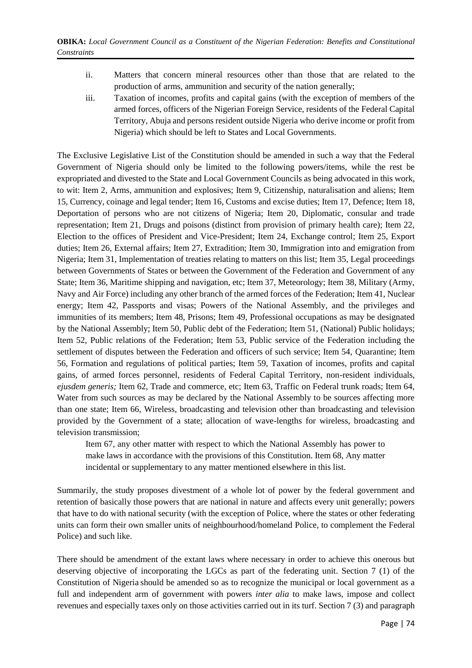- ii. Matters that concern mineral resources other than those that are related to the production of arms, ammunition and security of the nation generally;
- iii. Taxation of incomes, profits and capital gains (with the exception of members of the armed forces, officers of the Nigerian Foreign Service, residents of the Federal Capital Territory, Abuja and persons resident outside Nigeria who derive income or profit from Nigeria) which should be left to States and Local Governments.

The Exclusive Legislative List of the Constitution should be amended in such a way that the Federal Government of Nigeria should only be limited to the following powers/items, while the rest be expropriated and divested to the State and Local Government Councils as being advocated in this work, to wit: Item 2, Arms, ammunition and explosives; Item 9, Citizenship, naturalisation and aliens; Item 15, Currency, coinage and legal tender; Item 16, Customs and excise duties; Item 17, Defence; Item 18, Deportation of persons who are not citizens of Nigeria; Item 20, Diplomatic, consular and trade representation; Item 21, Drugs and poisons (distinct from provision of primary health care); Item 22, Election to the offices of President and Vice-President; Item 24, Exchange control; Item 25, Export duties; Item 26, External affairs; Item 27, Extradition; Item 30, Immigration into and emigration from Nigeria; Item 31, Implementation of treaties relating to matters on this list; Item 35, Legal proceedings between Governments of States or between the Government of the Federation and Government of any State; Item 36, Maritime shipping and navigation, etc; Item 37, Meteorology; Item 38, Military (Army, Navy and Air Force) including any other branch of the armed forces of the Federation; Item 41, Nuclear energy; Item 42, Passports and visas; Powers of the National Assembly, and the privileges and immunities of its members; Item 48, Prisons; Item 49, Professional occupations as may be designated by the National Assembly; Item 50, Public debt of the Federation; Item 51, (National) Public holidays; Item 52, Public relations of the Federation; Item 53, Public service of the Federation including the settlement of disputes between the Federation and officers of such service; Item 54, Quarantine; Item 56, Formation and regulations of political parties; Item 59, Taxation of incomes, profits and capital gains, of armed forces personnel, residents of Federal Capital Territory, non-resident individuals, *ejusdem generis;* Item 62, Trade and commerce, etc; Item 63, Traffic on Federal trunk roads; Item 64, Water from such sources as may be declared by the National Assembly to be sources affecting more than one state; Item 66, Wireless, broadcasting and television other than broadcasting and television provided by the Government of a state; allocation of wave-lengths for wireless, broadcasting and television transmission;

Item 67, any other matter with respect to which the National Assembly has power to make laws in accordance with the provisions of this Constitution. Item 68, Any matter incidental or supplementary to any matter mentioned elsewhere in this list.

Summarily, the study proposes divestment of a whole lot of power by the federal government and retention of basically those powers that are national in nature and affects every unit generally; powers that have to do with national security (with the exception of Police, where the states or other federating units can form their own smaller units of neighbourhood/homeland Police, to complement the Federal Police) and such like.

There should be amendment of the extant laws where necessary in order to achieve this onerous but deserving objective of incorporating the LGCs as part of the federating unit. Section 7 (1) of the Constitution of Nigeria should be amended so as to recognize the municipal or local government as a full and independent arm of government with powers *inter alia* to make laws, impose and collect revenues and especially taxes only on those activities carried out in its turf. Section 7 (3) and paragraph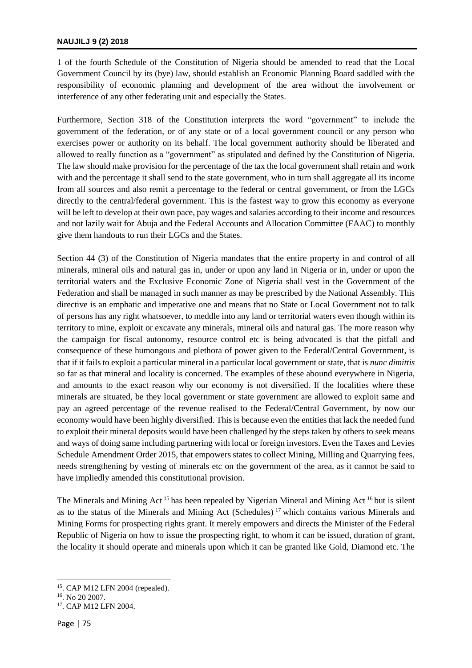1 of the fourth Schedule of the Constitution of Nigeria should be amended to read that the Local Government Council by its (bye) law, should establish an Economic Planning Board saddled with the responsibility of economic planning and development of the area without the involvement or interference of any other federating unit and especially the States.

Furthermore, Section 318 of the Constitution interprets the word "government" to include the government of the federation, or of any state or of a local government council or any person who exercises power or authority on its behalf. The local government authority should be liberated and allowed to really function as a "government" as stipulated and defined by the Constitution of Nigeria. The law should make provision for the percentage of the tax the local government shall retain and work with and the percentage it shall send to the state government, who in turn shall aggregate all its income from all sources and also remit a percentage to the federal or central government, or from the LGCs directly to the central/federal government. This is the fastest way to grow this economy as everyone will be left to develop at their own pace, pay wages and salaries according to their income and resources and not lazily wait for Abuja and the Federal Accounts and Allocation Committee (FAAC) to monthly give them handouts to run their LGCs and the States.

Section 44 (3) of the Constitution of Nigeria mandates that the entire property in and control of all minerals, mineral oils and natural gas in, under or upon any land in Nigeria or in, under or upon the territorial waters and the Exclusive Economic Zone of Nigeria shall vest in the Government of the Federation and shall be managed in such manner as may be prescribed by the National Assembly. This directive is an emphatic and imperative one and means that no State or Local Government not to talk of persons has any right whatsoever, to meddle into any land or territorial waters even though within its territory to mine, exploit or excavate any minerals, mineral oils and natural gas. The more reason why the campaign for fiscal autonomy, resource control etc is being advocated is that the pitfall and consequence of these humongous and plethora of power given to the Federal/Central Government, is that if it fails to exploit a particular mineral in a particular local government or state, that is *nunc dimittis* so far as that mineral and locality is concerned. The examples of these abound everywhere in Nigeria, and amounts to the exact reason why our economy is not diversified. If the localities where these minerals are situated, be they local government or state government are allowed to exploit same and pay an agreed percentage of the revenue realised to the Federal/Central Government, by now our economy would have been highly diversified. This is because even the entities that lack the needed fund to exploit their mineral deposits would have been challenged by the steps taken by others to seek means and ways of doing same including partnering with local or foreign investors. Even the Taxes and Levies Schedule Amendment Order 2015, that empowers states to collect Mining, Milling and Quarrying fees, needs strengthening by vesting of minerals etc on the government of the area, as it cannot be said to have impliedly amended this constitutional provision.

The Minerals and Mining Act<sup>15</sup> has been repealed by Nigerian Mineral and Mining Act<sup>16</sup> but is silent as to the status of the Minerals and Mining Act (Schedules) <sup>17</sup> which contains various Minerals and Mining Forms for prospecting rights grant. It merely empowers and directs the Minister of the Federal Republic of Nigeria on how to issue the prospecting right, to whom it can be issued, duration of grant, the locality it should operate and minerals upon which it can be granted like Gold, Diamond etc. The

 $\overline{a}$ 

<sup>15</sup> . CAP M12 LFN 2004 (repealed).

<sup>16</sup> . No 20 2007.

<sup>17</sup> . CAP M12 LFN 2004.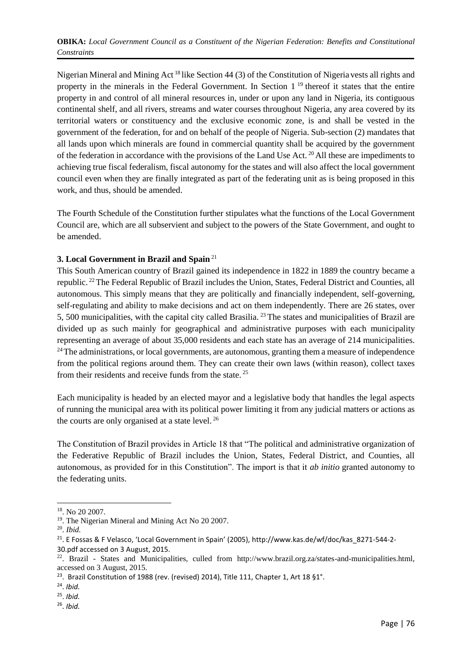Nigerian Mineral and Mining Act <sup>18</sup> like Section 44 (3) of the Constitution of Nigeria vests all rights and property in the minerals in the Federal Government. In Section  $1<sup>19</sup>$  thereof it states that the entire property in and control of all mineral resources in, under or upon any land in Nigeria, its contiguous continental shelf, and all rivers, streams and water courses throughout Nigeria, any area covered by its territorial waters or constituency and the exclusive economic zone, is and shall be vested in the government of the federation, for and on behalf of the people of Nigeria. Sub-section (2) mandates that all lands upon which minerals are found in commercial quantity shall be acquired by the government of the federation in accordance with the provisions of the Land Use Act. <sup>20</sup> All these are impediments to achieving true fiscal federalism, fiscal autonomy for the states and will also affect the local government council even when they are finally integrated as part of the federating unit as is being proposed in this work, and thus, should be amended.

The Fourth Schedule of the Constitution further stipulates what the functions of the Local Government Council are, which are all subservient and subject to the powers of the State Government, and ought to be amended.

### **3. Local Government in Brazil and Spain** <sup>21</sup>

This South American country of Brazil gained its independence in 1822 in 1889 the country became a republic. <sup>22</sup>The Federal Republic of Brazil includes the Union, States, Federal District and Counties, all autonomous. This simply means that they are politically and financially independent, self-governing, self-regulating and ability to make decisions and act on them independently. There are 26 states, over 5, 500 municipalities, with the capital city called Brasilia. <sup>23</sup> The states and municipalities of Brazil are divided up as such mainly for geographical and administrative purposes with each municipality representing an average of about 35,000 residents and each state has an average of 214 municipalities. <sup>24</sup>The administrations, or local governments, are autonomous, granting them a measure of independence from the political regions around them. They can create their own laws (within reason), collect taxes from their residents and receive funds from the state. <sup>25</sup>

Each municipality is headed by an elected mayor and a legislative body that handles the legal aspects of running the municipal area with its political power limiting it from any judicial matters or actions as the courts are only organised at a state level. <sup>26</sup>

The Constitution of Brazil provides in Article 18 that "The political and administrative organization of the Federative Republic of Brazil includes the Union, States, Federal District, and Counties, all autonomous, as provided for in this Constitution". The import is that it *ab initio* granted autonomy to the federating units.

**.** 

26 . *Ibid.*

<sup>18</sup> . No 20 2007.

<sup>&</sup>lt;sup>19</sup>. The Nigerian Mineral and Mining Act No 20 2007.

<sup>20</sup> . *Ibid.*

 $21.$  E Fossas & F Velasco, 'Local Government in Spain' (2005), http://www.kas.de/wf/doc/kas 8271-544-2-

[<sup>30.</sup>pdf](http://www.kas.de/wf/doc/kas_8271-544-2-30.pdf) accessed on 3 August, 2015.

 $22$ . Brazil - States and Municipalities, culled from [http://www.brazil.org.za/states-and-municipalities.html,](http://www.brazil.org.za/states-and-municipalities.html) accessed on 3 August, 2015.

<sup>&</sup>lt;sup>23</sup>. Brazil Constitution of 1988 (rev. (revised) 2014), Title 111, Chapter 1, Art 18 §1°.

<sup>24</sup> . *Ibid.*

<sup>25</sup> . *Ibid.*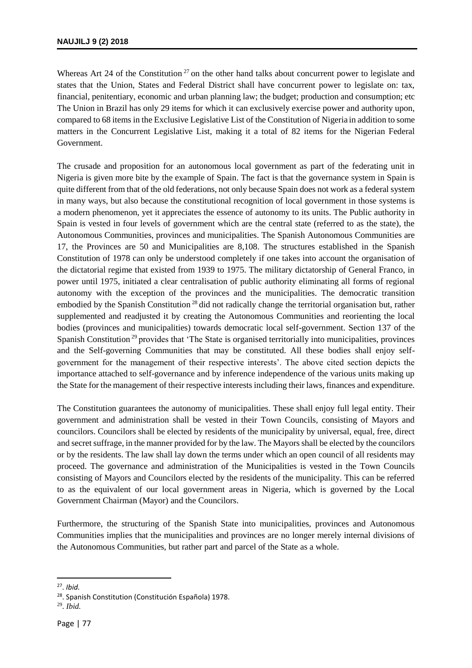Whereas Art 24 of the Constitution<sup>27</sup> on the other hand talks about concurrent power to legislate and states that the Union, States and Federal District shall have concurrent power to legislate on: tax, financial, penitentiary, economic and urban planning law; the budget; production and consumption; etc The Union in Brazil has only 29 items for which it can exclusively exercise power and authority upon, compared to 68 items in the Exclusive Legislative List of the Constitution of Nigeria in addition to some matters in the Concurrent Legislative List, making it a total of 82 items for the Nigerian Federal Government.

The crusade and proposition for an autonomous local government as part of the federating unit in Nigeria is given more bite by the example of Spain. The fact is that the governance system in Spain is quite different from that of the old federations, not only because Spain does not work as a federal system in many ways, but also because the constitutional recognition of local government in those systems is a modern phenomenon, yet it appreciates the essence of autonomy to its units. The Public authority in Spain is vested in four levels of government which are the central state (referred to as the state), the Autonomous Communities, provinces and municipalities. The Spanish Autonomous Communities are 17, the Provinces are 50 and Municipalities are 8,108. The structures established in the Spanish Constitution of 1978 can only be understood completely if one takes into account the organisation of the dictatorial regime that existed from 1939 to 1975. The military dictatorship of General Franco, in power until 1975, initiated a clear centralisation of public authority eliminating all forms of regional autonomy with the exception of the provinces and the municipalities. The democratic transition embodied by the Spanish Constitution <sup>28</sup> did not radically change the territorial organisation but, rather supplemented and readjusted it by creating the Autonomous Communities and reorienting the local bodies (provinces and municipalities) towards democratic local self-government. Section 137 of the Spanish Constitution <sup>29</sup> provides that 'The State is organised territorially into municipalities, provinces and the Self-governing Communities that may be constituted. All these bodies shall enjoy selfgovernment for the management of their respective interests'. The above cited section depicts the importance attached to self-governance and by inference independence of the various units making up the State for the management of their respective interests including their laws, finances and expenditure.

The Constitution guarantees the autonomy of municipalities. These shall enjoy full legal entity. Their government and administration shall be vested in their Town Councils, consisting of Mayors and councilors. Councilors shall be elected by residents of the municipality by universal, equal, free, direct and secret suffrage, in the manner provided for by the law. The Mayors shall be elected by the councilors or by the residents. The law shall lay down the terms under which an open council of all residents may proceed. The governance and administration of the Municipalities is vested in the Town Councils consisting of Mayors and Councilors elected by the residents of the municipality. This can be referred to as the equivalent of our local government areas in Nigeria, which is governed by the Local Government Chairman (Mayor) and the Councilors.

Furthermore, the structuring of the Spanish State into municipalities, provinces and Autonomous Communities implies that the municipalities and provinces are no longer merely internal divisions of the Autonomous Communities, but rather part and parcel of the State as a whole.

<sup>27</sup> . *Ibid.*

<sup>28</sup>. Spanish Constitution (Constitución Española) 1978.

<sup>29</sup> . *Ibid.*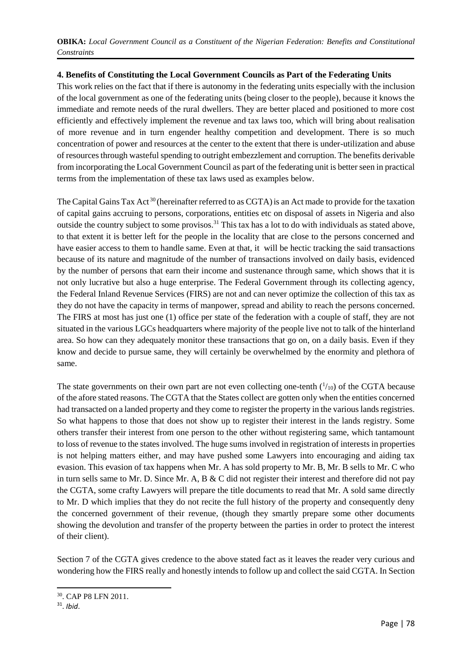**OBIKA:** *Local Government Council as a Constituent of the Nigerian Federation: Benefits and Constitutional Constraints*

### **4. Benefits of Constituting the Local Government Councils as Part of the Federating Units**

This work relies on the fact that if there is autonomy in the federating units especially with the inclusion of the local government as one of the federating units (being closer to the people), because it knows the immediate and remote needs of the rural dwellers. They are better placed and positioned to more cost efficiently and effectively implement the revenue and tax laws too, which will bring about realisation of more revenue and in turn engender healthy competition and development. There is so much concentration of power and resources at the center to the extent that there is under-utilization and abuse of resources through wasteful spending to outright embezzlement and corruption. The benefits derivable from incorporating the Local Government Council as part of the federating unit is better seen in practical terms from the implementation of these tax laws used as examples below.

The Capital Gains Tax Act<sup>30</sup> (hereinafter referred to as CGTA) is an Act made to provide for the taxation of capital gains accruing to persons, corporations, entities etc on disposal of assets in Nigeria and also outside the country subject to some provisos.<sup>31</sup> This tax has a lot to do with individuals as stated above, to that extent it is better left for the people in the locality that are close to the persons concerned and have easier access to them to handle same. Even at that, it will be hectic tracking the said transactions because of its nature and magnitude of the number of transactions involved on daily basis, evidenced by the number of persons that earn their income and sustenance through same, which shows that it is not only lucrative but also a huge enterprise. The Federal Government through its collecting agency, the Federal Inland Revenue Services (FIRS) are not and can never optimize the collection of this tax as they do not have the capacity in terms of manpower, spread and ability to reach the persons concerned. The FIRS at most has just one (1) office per state of the federation with a couple of staff, they are not situated in the various LGCs headquarters where majority of the people live not to talk of the hinterland area. So how can they adequately monitor these transactions that go on, on a daily basis. Even if they know and decide to pursue same, they will certainly be overwhelmed by the enormity and plethora of same.

The state governments on their own part are not even collecting one-tenth  $(^{1}/_{10})$  of the CGTA because of the afore stated reasons. The CGTA that the States collect are gotten only when the entities concerned had transacted on a landed property and they come to register the property in the various lands registries. So what happens to those that does not show up to register their interest in the lands registry. Some others transfer their interest from one person to the other without registering same, which tantamount to loss of revenue to the states involved. The huge sums involved in registration of interests in properties is not helping matters either, and may have pushed some Lawyers into encouraging and aiding tax evasion. This evasion of tax happens when Mr. A has sold property to Mr. B, Mr. B sells to Mr. C who in turn sells same to Mr. D. Since Mr. A, B & C did not register their interest and therefore did not pay the CGTA, some crafty Lawyers will prepare the title documents to read that Mr. A sold same directly to Mr. D which implies that they do not recite the full history of the property and consequently deny the concerned government of their revenue, (though they smartly prepare some other documents showing the devolution and transfer of the property between the parties in order to protect the interest of their client).

Section 7 of the CGTA gives credence to the above stated fact as it leaves the reader very curious and wondering how the FIRS really and honestly intends to follow up and collect the said CGTA. In Section

1

<sup>30</sup>. CAP P8 LFN 2011.

<sup>31</sup> . *Ibid*.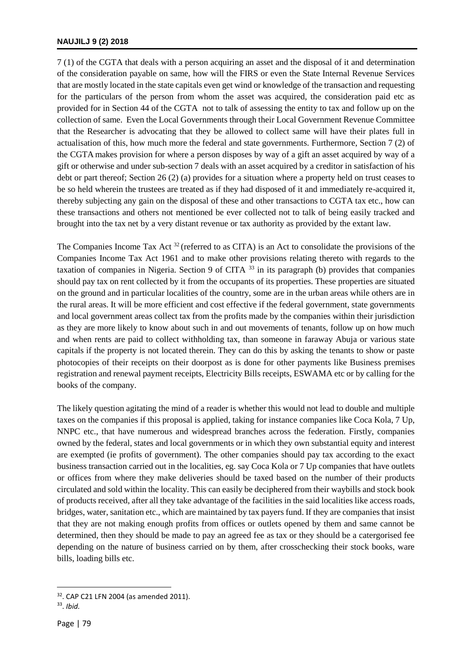7 (1) of the CGTA that deals with a person acquiring an asset and the disposal of it and determination of the consideration payable on same, how will the FIRS or even the State Internal Revenue Services that are mostly located in the state capitals even get wind or knowledge of the transaction and requesting for the particulars of the person from whom the asset was acquired, the consideration paid etc as provided for in Section 44 of the CGTA not to talk of assessing the entity to tax and follow up on the collection of same. Even the Local Governments through their Local Government Revenue Committee that the Researcher is advocating that they be allowed to collect same will have their plates full in actualisation of this, how much more the federal and state governments. Furthermore, Section 7 (2) of the CGTA makes provision for where a person disposes by way of a gift an asset acquired by way of a gift or otherwise and under sub-section 7 deals with an asset acquired by a creditor in satisfaction of his debt or part thereof; Section 26 (2) (a) provides for a situation where a property held on trust ceases to be so held wherein the trustees are treated as if they had disposed of it and immediately re-acquired it, thereby subjecting any gain on the disposal of these and other transactions to CGTA tax etc., how can these transactions and others not mentioned be ever collected not to talk of being easily tracked and brought into the tax net by a very distant revenue or tax authority as provided by the extant law.

The Companies Income Tax Act<sup>32</sup> (referred to as CITA) is an Act to consolidate the provisions of the Companies Income Tax Act 1961 and to make other provisions relating thereto with regards to the taxation of companies in Nigeria. Section 9 of CITA <sup>33</sup> in its paragraph (b) provides that companies should pay tax on rent collected by it from the occupants of its properties. These properties are situated on the ground and in particular localities of the country, some are in the urban areas while others are in the rural areas. It will be more efficient and cost effective if the federal government, state governments and local government areas collect tax from the profits made by the companies within their jurisdiction as they are more likely to know about such in and out movements of tenants, follow up on how much and when rents are paid to collect withholding tax, than someone in faraway Abuja or various state capitals if the property is not located therein. They can do this by asking the tenants to show or paste photocopies of their receipts on their doorpost as is done for other payments like Business premises registration and renewal payment receipts, Electricity Bills receipts, ESWAMA etc or by calling for the books of the company.

The likely question agitating the mind of a reader is whether this would not lead to double and multiple taxes on the companies if this proposal is applied, taking for instance companies like Coca Kola, 7 Up, NNPC etc., that have numerous and widespread branches across the federation. Firstly, companies owned by the federal, states and local governments or in which they own substantial equity and interest are exempted (ie profits of government). The other companies should pay tax according to the exact business transaction carried out in the localities, eg. say Coca Kola or 7 Up companies that have outlets or offices from where they make deliveries should be taxed based on the number of their products circulated and sold within the locality. This can easily be deciphered from their waybills and stock book of products received, after all they take advantage of the facilities in the said localities like access roads, bridges, water, sanitation etc., which are maintained by tax payers fund. If they are companies that insist that they are not making enough profits from offices or outlets opened by them and same cannot be determined, then they should be made to pay an agreed fee as tax or they should be a catergorised fee depending on the nature of business carried on by them, after crosschecking their stock books, ware bills, loading bills etc.

1

<sup>32</sup>. CAP C21 LFN 2004 (as amended 2011).

<sup>33</sup> . *Ibid.*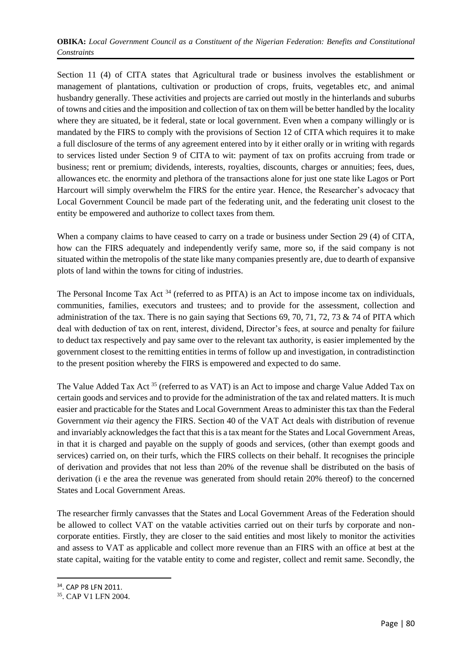Section 11 (4) of CITA states that Agricultural trade or business involves the establishment or management of plantations, cultivation or production of crops, fruits, vegetables etc, and animal husbandry generally. These activities and projects are carried out mostly in the hinterlands and suburbs of towns and cities and the imposition and collection of tax on them will be better handled by the locality where they are situated, be it federal, state or local government. Even when a company willingly or is mandated by the FIRS to comply with the provisions of Section 12 of CITA which requires it to make a full disclosure of the terms of any agreement entered into by it either orally or in writing with regards to services listed under Section 9 of CITA to wit: payment of tax on profits accruing from trade or business; rent or premium; dividends, interests, royalties, discounts, charges or annuities; fees, dues, allowances etc. the enormity and plethora of the transactions alone for just one state like Lagos or Port Harcourt will simply overwhelm the FIRS for the entire year. Hence, the Researcher's advocacy that Local Government Council be made part of the federating unit, and the federating unit closest to the entity be empowered and authorize to collect taxes from them.

When a company claims to have ceased to carry on a trade or business under Section 29 (4) of CITA, how can the FIRS adequately and independently verify same, more so, if the said company is not situated within the metropolis of the state like many companies presently are, due to dearth of expansive plots of land within the towns for citing of industries.

The Personal Income Tax Act <sup>34</sup> (referred to as PITA) is an Act to impose income tax on individuals, communities, families, executors and trustees; and to provide for the assessment, collection and administration of the tax. There is no gain saying that Sections 69, 70, 71, 72, 73  $\&$  74 of PITA which deal with deduction of tax on rent, interest, dividend, Director's fees, at source and penalty for failure to deduct tax respectively and pay same over to the relevant tax authority, is easier implemented by the government closest to the remitting entities in terms of follow up and investigation, in contradistinction to the present position whereby the FIRS is empowered and expected to do same.

The Value Added Tax Act<sup>35</sup> (referred to as VAT) is an Act to impose and charge Value Added Tax on certain goods and services and to provide for the administration of the tax and related matters. It is much easier and practicable for the States and Local Government Areas to administer this tax than the Federal Government *via* their agency the FIRS. Section 40 of the VAT Act deals with distribution of revenue and invariably acknowledges the fact that this is a tax meant for the States and Local Government Areas, in that it is charged and payable on the supply of goods and services, (other than exempt goods and services) carried on, on their turfs, which the FIRS collects on their behalf. It recognises the principle of derivation and provides that not less than 20% of the revenue shall be distributed on the basis of derivation (i e the area the revenue was generated from should retain 20% thereof) to the concerned States and Local Government Areas.

The researcher firmly canvasses that the States and Local Government Areas of the Federation should be allowed to collect VAT on the vatable activities carried out on their turfs by corporate and noncorporate entities. Firstly, they are closer to the said entities and most likely to monitor the activities and assess to VAT as applicable and collect more revenue than an FIRS with an office at best at the state capital, waiting for the vatable entity to come and register, collect and remit same. Secondly, the

<sup>34</sup>. CAP P8 LFN 2011.

<sup>35</sup>. CAP V1 LFN 2004.